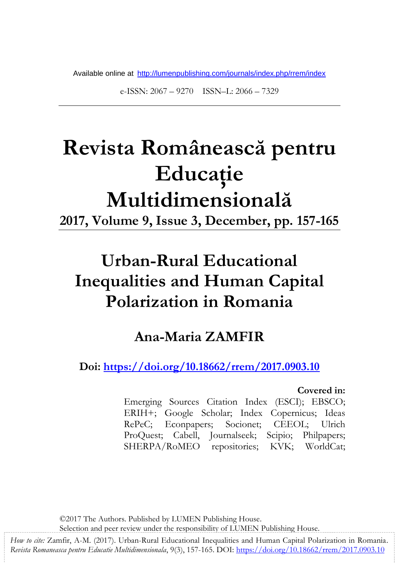Available online at http://lumenpublishing.com/journals/index.php/rrem/index

e-ISSN: 2067 – 9270 ISSN–L: 2066 – 7329

# **Revista Românească pentru Educaţie Multidimensională**

**2017, Volume 9, Issue 3, December, pp. 157-165**

# **Urban-Rural Educational Inequalities and Human Capital Polarization in Romania**

### **Ana-Maria ZAMFIR**

**Doi: <https://doi.org/10.18662/rrem/2017.0903.10>**

#### **Covered in:**

Emerging Sources Citation Index (ESCI); EBSCO; ERIH+; Google Scholar; Index Copernicus; Ideas RePeC; Econpapers; Socionet; CEEOL; Ulrich ProQuest; Cabell, Journalseek; Scipio; Philpapers; SHERPA/RoMEO repositories; KVK; WorldCat;

©2017 The Authors. Published by LUMEN Publishing House.

Selection and peer review under the responsibility of LUMEN Publishing House.

*How to cite:* Zamfir, A-M. (2017). Urban-Rural Educational Inequalities and Human Capital Polarization in Romania. *Revista Romaneasca pentru Educatie Multidimensionala*, 9(3), 157-165. DOI: https://doi.org/10.18662/rrem/2017.0903.10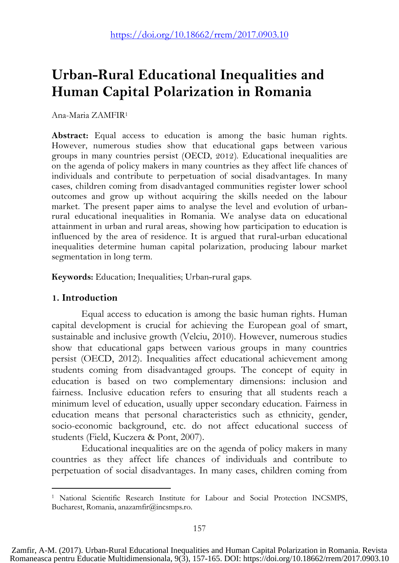## **Urban-Rural Educational Inequalities and Human Capital Polarization in Romania**

Ana-Maria ZAMFIR<sup>1</sup>

**Abstract:** Equal access to education is among the basic human rights. However, numerous studies show that educational gaps between various groups in many countries persist (OECD, 2012). Educational inequalities are on the agenda of policy makers in many countries as they affect life chances of individuals and contribute to perpetuation of social disadvantages. In many cases, children coming from disadvantaged communities register lower school outcomes and grow up without acquiring the skills needed on the labour market. The present paper aims to analyse the level and evolution of urbanrural educational inequalities in Romania. We analyse data on educational attainment in urban and rural areas, showing how participation to education is influenced by the area of residence. It is argued that rural-urban educational inequalities determine human capital polarization, producing labour market segmentation in long term.

**Keywords:** Education; Inequalities; Urban-rural gaps.

#### **1. Introduction**

 $\overline{a}$ 

Equal access to education is among the basic human rights. Human capital development is crucial for achieving the European goal of smart, sustainable and inclusive growth (Velciu, 2010). However, numerous studies show that educational gaps between various groups in many countries persist (OECD, 2012). Inequalities affect educational achievement among students coming from disadvantaged groups. The concept of equity in education is based on two complementary dimensions: inclusion and fairness. Inclusive education refers to ensuring that all students reach a minimum level of education, usually upper secondary education. Fairness in education means that personal characteristics such as ethnicity, gender, socio-economic background, etc. do not affect educational success of students (Field, Kuczera & Pont, 2007).

Educational inequalities are on the agenda of policy makers in many countries as they affect life chances of individuals and contribute to perpetuation of social disadvantages. In many cases, children coming from

<sup>1</sup> National Scientific Research Institute for Labour and Social Protection INCSMPS, Bucharest, Romania, anazamfir@incsmps.ro.

Zamfir, A-M. (2017). Urban-Rural Educational Inequalities and Human Capital Polarization in Romania. Revista Romaneasca pentru Educatie Multidimensionala, 9(3), 157-165. DOI: https://doi.org/10.18662/rrem/2017.0903.10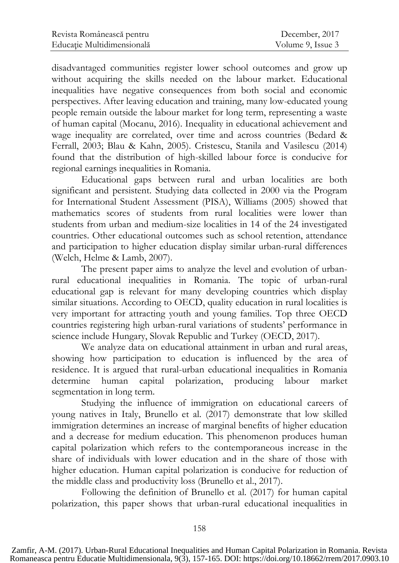| Revista Românească pentru  | December, 2017    |
|----------------------------|-------------------|
| Educație Multidimensională | Volume 9, Issue 3 |

disadvantaged communities register lower school outcomes and grow up without acquiring the skills needed on the labour market. Educational inequalities have negative consequences from both social and economic perspectives. After leaving education and training, many low-educated young people remain outside the labour market for long term, representing a waste of human capital (Mocanu, 2016). Inequality in educational achievement and wage inequality are correlated, over time and across countries (Bedard & Ferrall, 2003; Blau & Kahn, 2005). Cristescu, Stanila and Vasilescu (2014) found that the distribution of high-skilled labour force is conducive for regional earnings inequalities in Romania.

Educational gaps between rural and urban localities are both significant and persistent. Studying data collected in 2000 via the Program for International Student Assessment (PISA), Williams (2005) showed that mathematics scores of students from rural localities were lower than students from urban and medium-size localities in 14 of the 24 investigated countries. Other educational outcomes such as school retention, attendance and participation to higher education display similar urban-rural differences (Welch, Helme & Lamb, 2007).

The present paper aims to analyze the level and evolution of urbanrural educational inequalities in Romania. The topic of urban-rural educational gap is relevant for many developing countries which display similar situations. According to OECD, quality education in rural localities is very important for attracting youth and young families. Top three OECD countries registering high urban-rural variations of students' performance in science include Hungary, Slovak Republic and Turkey (OECD, 2017).

We analyze data on educational attainment in urban and rural areas, showing how participation to education is influenced by the area of residence. It is argued that rural-urban educational inequalities in Romania determine human capital polarization, producing labour market segmentation in long term.

Studying the influence of immigration on educational careers of young natives in Italy, Brunello et al. (2017) demonstrate that low skilled immigration determines an increase of marginal benefits of higher education and a decrease for medium education. This phenomenon produces human capital polarization which refers to the contemporaneous increase in the share of individuals with lower education and in the share of those with higher education. Human capital polarization is conducive for reduction of the middle class and productivity loss (Brunello et al., 2017).

Following the definition of Brunello et al. (2017) for human capital polarization, this paper shows that urban-rural educational inequalities in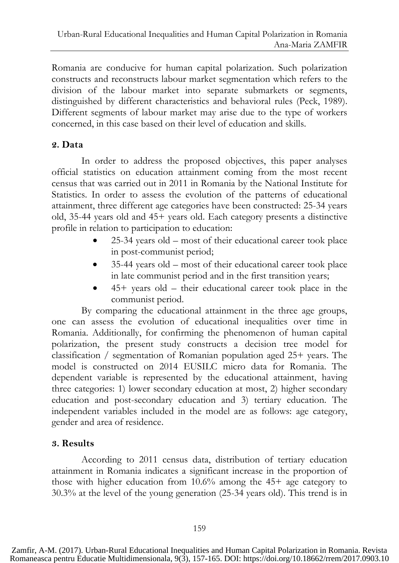Romania are conducive for human capital polarization. Such polarization constructs and reconstructs labour market segmentation which refers to the division of the labour market into separate submarkets or segments, distinguished by different characteristics and behavioral rules (Peck, 1989). Different segments of labour market may arise due to the type of workers concerned, in this case based on their level of education and skills.

#### **2. Data**

In order to address the proposed objectives, this paper analyses official statistics on education attainment coming from the most recent census that was carried out in 2011 in Romania by the National Institute for Statistics. In order to assess the evolution of the patterns of educational attainment, three different age categories have been constructed: 25-34 years old, 35-44 years old and 45+ years old. Each category presents a distinctive profile in relation to participation to education:

- 25-34 years old most of their educational career took place in post-communist period;
- 35-44 years old most of their educational career took place in late communist period and in the first transition years;
- 45+ years old their educational career took place in the communist period.

By comparing the educational attainment in the three age groups, one can assess the evolution of educational inequalities over time in Romania. Additionally, for confirming the phenomenon of human capital polarization, the present study constructs a decision tree model for classification / segmentation of Romanian population aged 25+ years. The model is constructed on 2014 EUSILC micro data for Romania. The dependent variable is represented by the educational attainment, having three categories: 1) lower secondary education at most, 2) higher secondary education and post-secondary education and 3) tertiary education. The independent variables included in the model are as follows: age category, gender and area of residence.

#### **3. Results**

According to 2011 census data, distribution of tertiary education attainment in Romania indicates a significant increase in the proportion of those with higher education from 10.6% among the 45+ age category to 30.3% at the level of the young generation (25-34 years old). This trend is in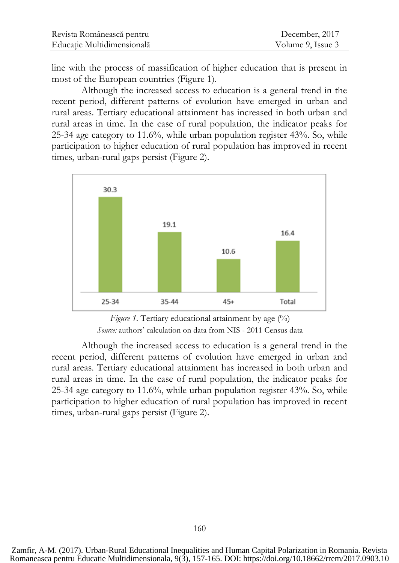| Revista Românească pentru  | December, 2017    |
|----------------------------|-------------------|
| Educație Multidimensională | Volume 9, Issue 3 |

line with the process of massification of higher education that is present in most of the European countries (Figure 1).

Although the increased access to education is a general trend in the recent period, different patterns of evolution have emerged in urban and rural areas. Tertiary educational attainment has increased in both urban and rural areas in time. In the case of rural population, the indicator peaks for 25-34 age category to 11.6%, while urban population register 43%. So, while participation to higher education of rural population has improved in recent times, urban-rural gaps persist (Figure 2).



*Figure 1.* Tertiary educational attainment by age  $(\%)$ *Source:* authors' calculation on data from NIS - 2011 Census data

Although the increased access to education is a general trend in the recent period, different patterns of evolution have emerged in urban and rural areas. Tertiary educational attainment has increased in both urban and rural areas in time. In the case of rural population, the indicator peaks for 25-34 age category to 11.6%, while urban population register 43%. So, while participation to higher education of rural population has improved in recent times, urban-rural gaps persist (Figure 2).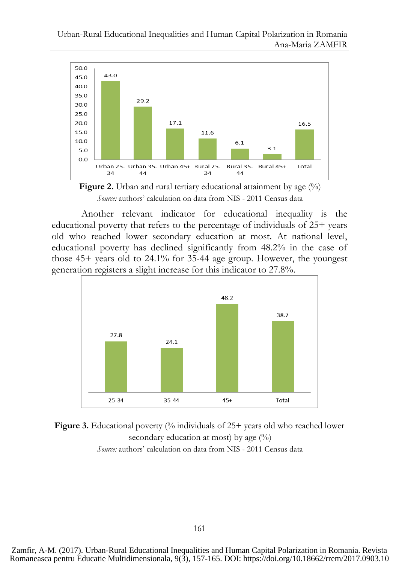Urban-Rural Educational Inequalities and Human Capital Polarization in Romania Ana-Maria ZAMFIR





Another relevant indicator for educational inequality is the educational poverty that refers to the percentage of individuals of 25+ years old who reached lower secondary education at most. At national level, educational poverty has declined significantly from 48.2% in the case of those 45+ years old to 24.1% for 35-44 age group. However, the youngest generation registers a slight increase for this indicator to 27.8%.





Zamfir, A-M. (2017). Urban-Rural Educational Inequalities and Human Capital Polarization in Romania. Revista Romaneasca pentru Educatie Multidimensionala, 9(3), 157-165. DOI: https://doi.org/10.18662/rrem/2017.0903.10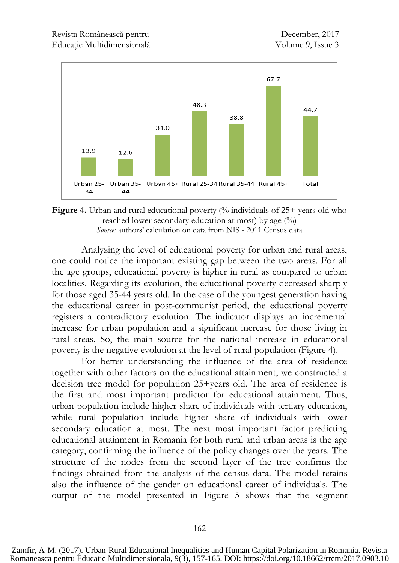

**Figure 4.** Urban and rural educational poverty (% individuals of 25+ years old who reached lower secondary education at most) by age  $(\%)$ *Source:* authors' calculation on data from NIS - 2011 Census data

Analyzing the level of educational poverty for urban and rural areas, one could notice the important existing gap between the two areas. For all the age groups, educational poverty is higher in rural as compared to urban localities. Regarding its evolution, the educational poverty decreased sharply for those aged 35-44 years old. In the case of the youngest generation having the educational career in post-communist period, the educational poverty registers a contradictory evolution. The indicator displays an incremental increase for urban population and a significant increase for those living in rural areas. So, the main source for the national increase in educational poverty is the negative evolution at the level of rural population (Figure 4).

For better understanding the influence of the area of residence together with other factors on the educational attainment, we constructed a decision tree model for population 25+years old. The area of residence is the first and most important predictor for educational attainment. Thus, urban population include higher share of individuals with tertiary education, while rural population include higher share of individuals with lower secondary education at most. The next most important factor predicting educational attainment in Romania for both rural and urban areas is the age category, confirming the influence of the policy changes over the years. The structure of the nodes from the second layer of the tree confirms the findings obtained from the analysis of the census data. The model retains also the influence of the gender on educational career of individuals. The output of the model presented in Figure 5 shows that the segment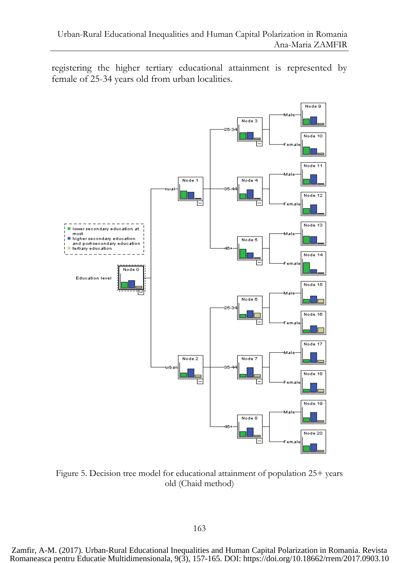registering the higher tertiary educational attainment is represented by female of 25-34 years old from urban localities.



Figure 5. Decision tree model for educational attainment of population 25+ years old (Chaid method)

Zamfir, A-M. (2017). Urban-Rural Educational Inequalities and Human Capital Polarization in Romania. Revista Romaneasca pentru Educatie Multidimensionala, 9(3), 157-165. DOI: https://doi.org/10.18662/rrem/2017.0903.10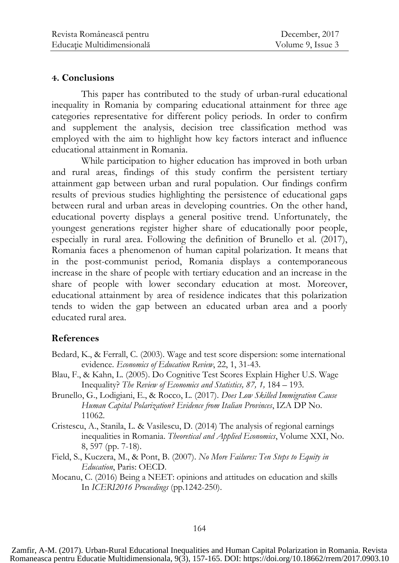#### **4. Conclusions**

This paper has contributed to the study of urban-rural educational inequality in Romania by comparing educational attainment for three age categories representative for different policy periods. In order to confirm and supplement the analysis, decision tree classification method was employed with the aim to highlight how key factors interact and influence educational attainment in Romania.

While participation to higher education has improved in both urban and rural areas, findings of this study confirm the persistent tertiary attainment gap between urban and rural population. Our findings confirm results of previous studies highlighting the persistence of educational gaps between rural and urban areas in developing countries. On the other hand, educational poverty displays a general positive trend. Unfortunately, the youngest generations register higher share of educationally poor people, especially in rural area. Following the definition of Brunello et al. (2017), Romania faces a phenomenon of human capital polarization. It means that in the post-communist period, Romania displays a contemporaneous increase in the share of people with tertiary education and an increase in the share of people with lower secondary education at most. Moreover, educational attainment by area of residence indicates that this polarization tends to widen the gap between an educated urban area and a poorly educated rural area.

#### **References**

- Bedard, K., & Ferrall, C. (2003). Wage and test score dispersion: some international evidence. *Economics of Education Review*, 22, 1, 31-43.
- Blau, F., & Kahn, L. (2005). Do Cognitive Test Scores Explain Higher U.S. Wage Inequality? *The Review of Economics and Statistics, 87, 1,* 184 – 193.
- Brunello, G., Lodigiani, E., & Rocco, L. (2017). *Does Low Skilled Immigration Cause Human Capital Polarization? Evidence from Italian Provinces*, IZA DP No. 11062.
- Cristescu, A., Stanila, L. & Vasilescu, D. (2014) The analysis of regional earnings inequalities in Romania. *Theoretical and Applied Economics*, Volume XXI, No. 8, 597 (pp. 7-18).
- Field, S., Kuczera, M., & Pont, B. (2007). *No More Failures: Ten Steps to Equity in Education*, Paris: OECD.
- Mocanu, C. (2016) Being a NEET: opinions and attitudes on education and skills In *ICERI2016 Proceedings* (pp.1242-250).